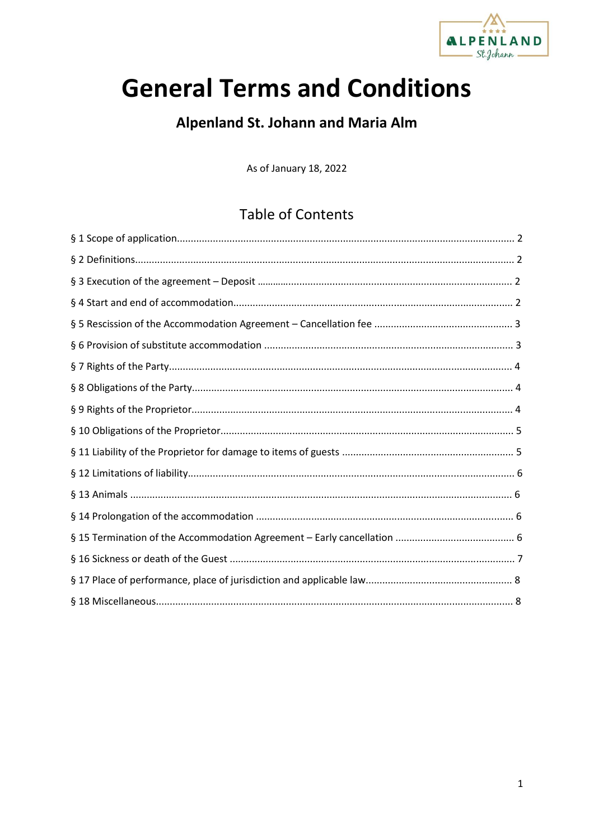

# **General Terms and Conditions**

# **Alpenland St. Johann and Maria Alm**

As of January 18, 2022

# **Table of Contents**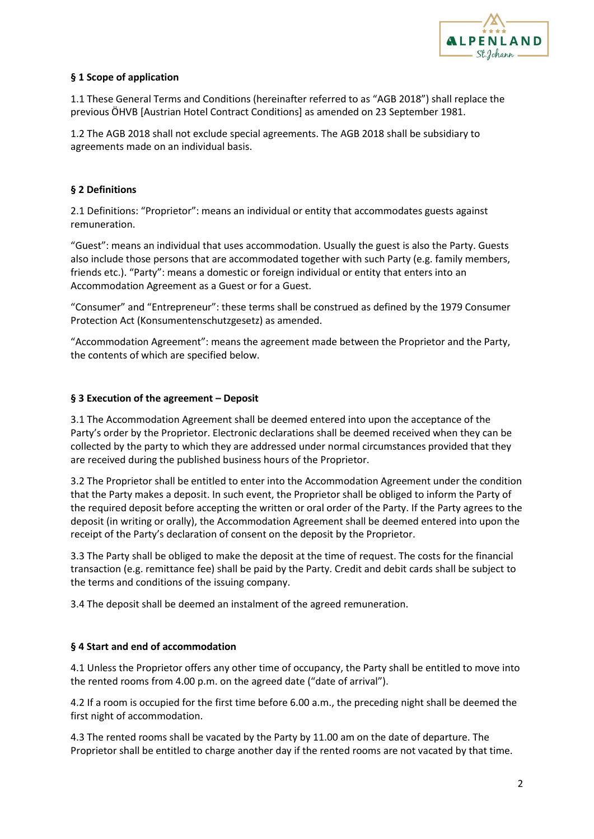

# **§ 1 Scope of application**

1.1 These General Terms and Conditions (hereinafter referred to as "AGB 2018") shall replace the previous ÖHVB [Austrian Hotel Contract Conditions] as amended on 23 September 1981.

1.2 The AGB 2018 shall not exclude special agreements. The AGB 2018 shall be subsidiary to agreements made on an individual basis.

# **§ 2 Definitions**

2.1 Definitions: "Proprietor": means an individual or entity that accommodates guests against remuneration.

"Guest": means an individual that uses accommodation. Usually the guest is also the Party. Guests also include those persons that are accommodated together with such Party (e.g. family members, friends etc.). "Party": means a domestic or foreign individual or entity that enters into an Accommodation Agreement as a Guest or for a Guest.

"Consumer" and "Entrepreneur": these terms shall be construed as defined by the 1979 Consumer Protection Act (Konsumentenschutzgesetz) as amended.

"Accommodation Agreement": means the agreement made between the Proprietor and the Party, the contents of which are specified below.

#### **§ 3 Execution of the agreement – Deposit**

3.1 The Accommodation Agreement shall be deemed entered into upon the acceptance of the Party's order by the Proprietor. Electronic declarations shall be deemed received when they can be collected by the party to which they are addressed under normal circumstances provided that they are received during the published business hours of the Proprietor.

3.2 The Proprietor shall be entitled to enter into the Accommodation Agreement under the condition that the Party makes a deposit. In such event, the Proprietor shall be obliged to inform the Party of the required deposit before accepting the written or oral order of the Party. If the Party agrees to the deposit (in writing or orally), the Accommodation Agreement shall be deemed entered into upon the receipt of the Party's declaration of consent on the deposit by the Proprietor.

3.3 The Party shall be obliged to make the deposit at the time of request. The costs for the financial transaction (e.g. remittance fee) shall be paid by the Party. Credit and debit cards shall be subject to the terms and conditions of the issuing company.

3.4 The deposit shall be deemed an instalment of the agreed remuneration.

# **§ 4 Start and end of accommodation**

4.1 Unless the Proprietor offers any other time of occupancy, the Party shall be entitled to move into the rented rooms from 4.00 p.m. on the agreed date ("date of arrival").

4.2 If a room is occupied for the first time before 6.00 a.m., the preceding night shall be deemed the first night of accommodation.

4.3 The rented rooms shall be vacated by the Party by 11.00 am on the date of departure. The Proprietor shall be entitled to charge another day if the rented rooms are not vacated by that time.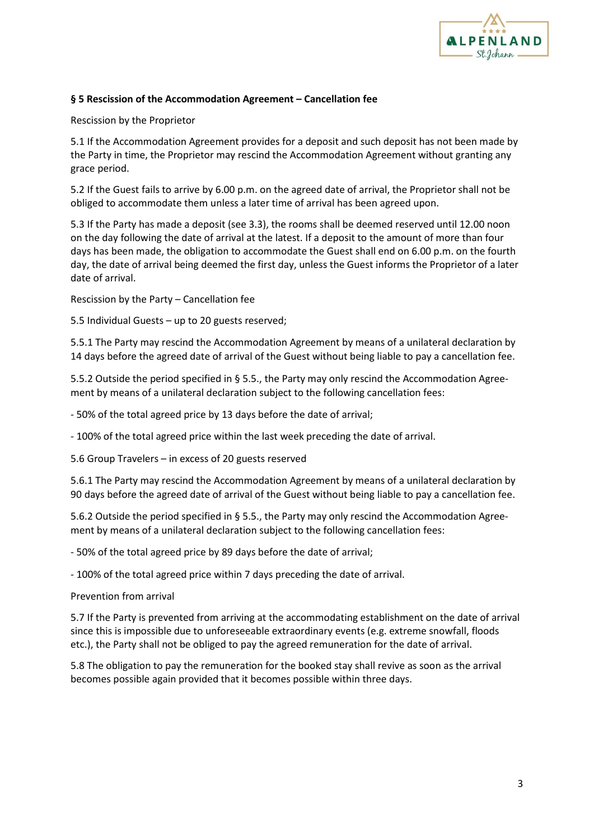

## **§ 5 Rescission of the Accommodation Agreement – Cancellation fee**

Rescission by the Proprietor

5.1 If the Accommodation Agreement provides for a deposit and such deposit has not been made by the Party in time, the Proprietor may rescind the Accommodation Agreement without granting any grace period.

5.2 If the Guest fails to arrive by 6.00 p.m. on the agreed date of arrival, the Proprietor shall not be obliged to accommodate them unless a later time of arrival has been agreed upon.

5.3 If the Party has made a deposit (see 3.3), the rooms shall be deemed reserved until 12.00 noon on the day following the date of arrival at the latest. If a deposit to the amount of more than four days has been made, the obligation to accommodate the Guest shall end on 6.00 p.m. on the fourth day, the date of arrival being deemed the first day, unless the Guest informs the Proprietor of a later date of arrival.

Rescission by the Party – Cancellation fee

5.5 Individual Guests – up to 20 guests reserved;

5.5.1 The Party may rescind the Accommodation Agreement by means of a unilateral declaration by 14 days before the agreed date of arrival of the Guest without being liable to pay a cancellation fee.

5.5.2 Outside the period specified in § 5.5., the Party may only rescind the Accommodation Agreement by means of a unilateral declaration subject to the following cancellation fees:

- 50% of the total agreed price by 13 days before the date of arrival;

- 100% of the total agreed price within the last week preceding the date of arrival.

5.6 Group Travelers – in excess of 20 guests reserved

5.6.1 The Party may rescind the Accommodation Agreement by means of a unilateral declaration by 90 days before the agreed date of arrival of the Guest without being liable to pay a cancellation fee.

5.6.2 Outside the period specified in § 5.5., the Party may only rescind the Accommodation Agreement by means of a unilateral declaration subject to the following cancellation fees:

- 50% of the total agreed price by 89 days before the date of arrival;

- 100% of the total agreed price within 7 days preceding the date of arrival.

Prevention from arrival

5.7 If the Party is prevented from arriving at the accommodating establishment on the date of arrival since this is impossible due to unforeseeable extraordinary events (e.g. extreme snowfall, floods etc.), the Party shall not be obliged to pay the agreed remuneration for the date of arrival.

5.8 The obligation to pay the remuneration for the booked stay shall revive as soon as the arrival becomes possible again provided that it becomes possible within three days.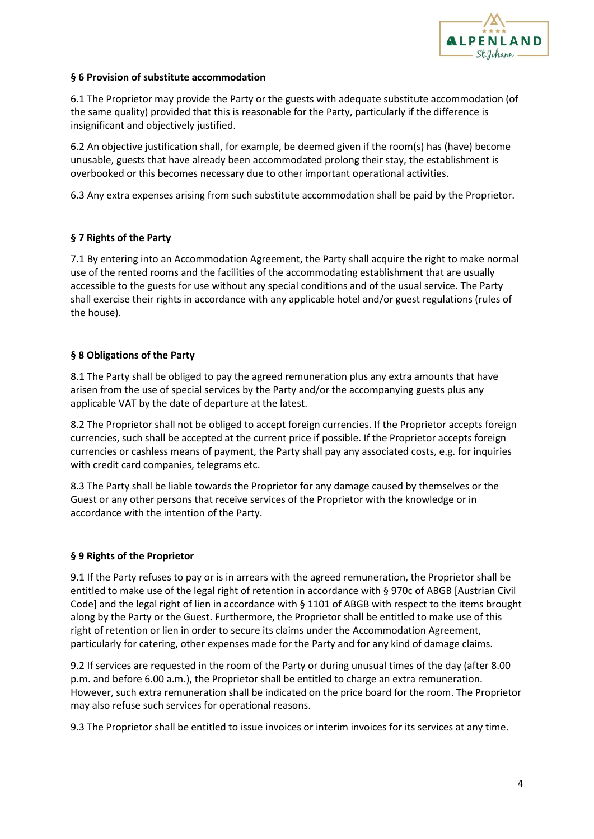

#### **§ 6 Provision of substitute accommodation**

6.1 The Proprietor may provide the Party or the guests with adequate substitute accommodation (of the same quality) provided that this is reasonable for the Party, particularly if the difference is insignificant and objectively justified.

6.2 An objective justification shall, for example, be deemed given if the room(s) has (have) become unusable, guests that have already been accommodated prolong their stay, the establishment is overbooked or this becomes necessary due to other important operational activities.

6.3 Any extra expenses arising from such substitute accommodation shall be paid by the Proprietor.

#### **§ 7 Rights of the Party**

7.1 By entering into an Accommodation Agreement, the Party shall acquire the right to make normal use of the rented rooms and the facilities of the accommodating establishment that are usually accessible to the guests for use without any special conditions and of the usual service. The Party shall exercise their rights in accordance with any applicable hotel and/or guest regulations (rules of the house).

#### **§ 8 Obligations of the Party**

8.1 The Party shall be obliged to pay the agreed remuneration plus any extra amounts that have arisen from the use of special services by the Party and/or the accompanying guests plus any applicable VAT by the date of departure at the latest.

8.2 The Proprietor shall not be obliged to accept foreign currencies. If the Proprietor accepts foreign currencies, such shall be accepted at the current price if possible. If the Proprietor accepts foreign currencies or cashless means of payment, the Party shall pay any associated costs, e.g. for inquiries with credit card companies, telegrams etc.

8.3 The Party shall be liable towards the Proprietor for any damage caused by themselves or the Guest or any other persons that receive services of the Proprietor with the knowledge or in accordance with the intention of the Party.

#### **§ 9 Rights of the Proprietor**

9.1 If the Party refuses to pay or is in arrears with the agreed remuneration, the Proprietor shall be entitled to make use of the legal right of retention in accordance with § 970c of ABGB [Austrian Civil Code] and the legal right of lien in accordance with § 1101 of ABGB with respect to the items brought along by the Party or the Guest. Furthermore, the Proprietor shall be entitled to make use of this right of retention or lien in order to secure its claims under the Accommodation Agreement, particularly for catering, other expenses made for the Party and for any kind of damage claims.

9.2 If services are requested in the room of the Party or during unusual times of the day (after 8.00 p.m. and before 6.00 a.m.), the Proprietor shall be entitled to charge an extra remuneration. However, such extra remuneration shall be indicated on the price board for the room. The Proprietor may also refuse such services for operational reasons.

9.3 The Proprietor shall be entitled to issue invoices or interim invoices for its services at any time.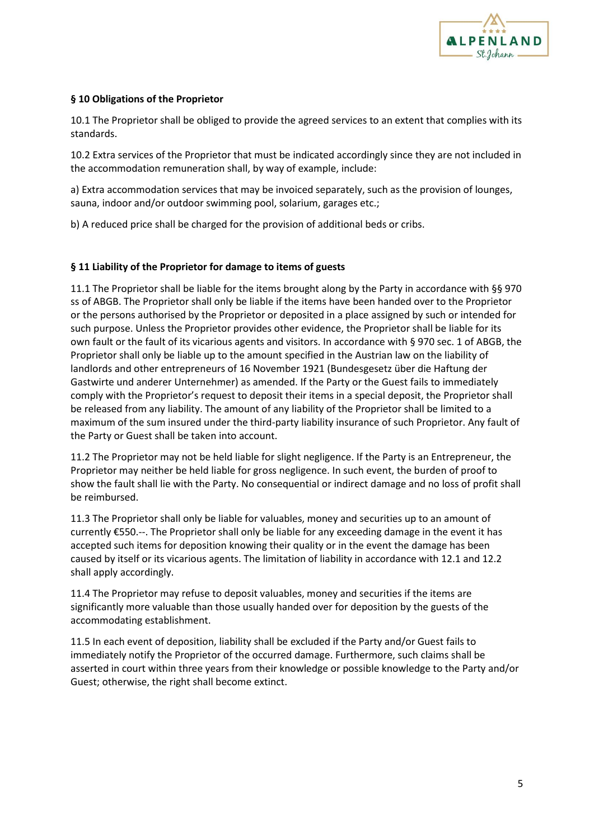

## **§ 10 Obligations of the Proprietor**

10.1 The Proprietor shall be obliged to provide the agreed services to an extent that complies with its standards.

10.2 Extra services of the Proprietor that must be indicated accordingly since they are not included in the accommodation remuneration shall, by way of example, include:

a) Extra accommodation services that may be invoiced separately, such as the provision of lounges, sauna, indoor and/or outdoor swimming pool, solarium, garages etc.;

b) A reduced price shall be charged for the provision of additional beds or cribs.

#### **§ 11 Liability of the Proprietor for damage to items of guests**

11.1 The Proprietor shall be liable for the items brought along by the Party in accordance with §§ 970 ss of ABGB. The Proprietor shall only be liable if the items have been handed over to the Proprietor or the persons authorised by the Proprietor or deposited in a place assigned by such or intended for such purpose. Unless the Proprietor provides other evidence, the Proprietor shall be liable for its own fault or the fault of its vicarious agents and visitors. In accordance with § 970 sec. 1 of ABGB, the Proprietor shall only be liable up to the amount specified in the Austrian law on the liability of landlords and other entrepreneurs of 16 November 1921 (Bundesgesetz über die Haftung der Gastwirte und anderer Unternehmer) as amended. If the Party or the Guest fails to immediately comply with the Proprietor's request to deposit their items in a special deposit, the Proprietor shall be released from any liability. The amount of any liability of the Proprietor shall be limited to a maximum of the sum insured under the third-party liability insurance of such Proprietor. Any fault of the Party or Guest shall be taken into account.

11.2 The Proprietor may not be held liable for slight negligence. If the Party is an Entrepreneur, the Proprietor may neither be held liable for gross negligence. In such event, the burden of proof to show the fault shall lie with the Party. No consequential or indirect damage and no loss of profit shall be reimbursed.

11.3 The Proprietor shall only be liable for valuables, money and securities up to an amount of currently €550.--. The Proprietor shall only be liable for any exceeding damage in the event it has accepted such items for deposition knowing their quality or in the event the damage has been caused by itself or its vicarious agents. The limitation of liability in accordance with 12.1 and 12.2 shall apply accordingly.

11.4 The Proprietor may refuse to deposit valuables, money and securities if the items are significantly more valuable than those usually handed over for deposition by the guests of the accommodating establishment.

11.5 In each event of deposition, liability shall be excluded if the Party and/or Guest fails to immediately notify the Proprietor of the occurred damage. Furthermore, such claims shall be asserted in court within three years from their knowledge or possible knowledge to the Party and/or Guest; otherwise, the right shall become extinct.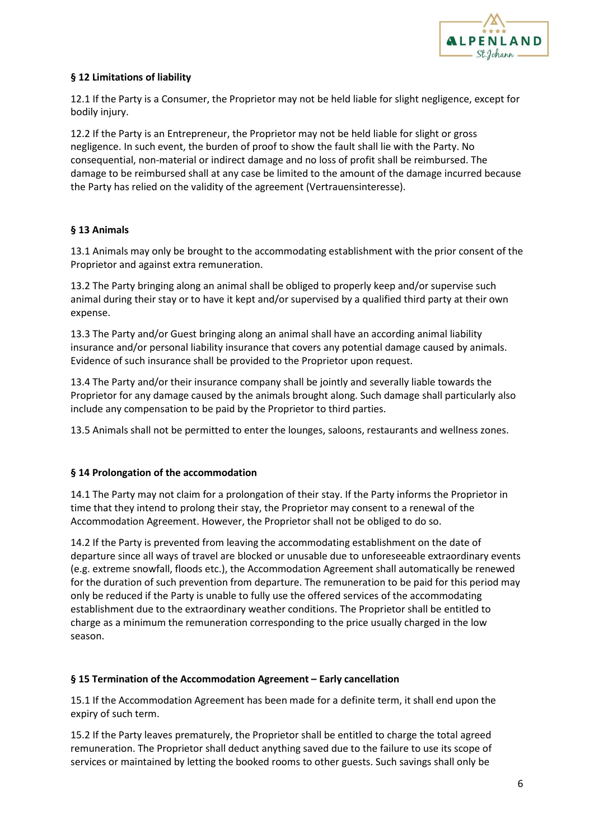

# **§ 12 Limitations of liability**

12.1 If the Party is a Consumer, the Proprietor may not be held liable for slight negligence, except for bodily injury.

12.2 If the Party is an Entrepreneur, the Proprietor may not be held liable for slight or gross negligence. In such event, the burden of proof to show the fault shall lie with the Party. No consequential, non-material or indirect damage and no loss of profit shall be reimbursed. The damage to be reimbursed shall at any case be limited to the amount of the damage incurred because the Party has relied on the validity of the agreement (Vertrauensinteresse).

# **§ 13 Animals**

13.1 Animals may only be brought to the accommodating establishment with the prior consent of the Proprietor and against extra remuneration.

13.2 The Party bringing along an animal shall be obliged to properly keep and/or supervise such animal during their stay or to have it kept and/or supervised by a qualified third party at their own expense.

13.3 The Party and/or Guest bringing along an animal shall have an according animal liability insurance and/or personal liability insurance that covers any potential damage caused by animals. Evidence of such insurance shall be provided to the Proprietor upon request.

13.4 The Party and/or their insurance company shall be jointly and severally liable towards the Proprietor for any damage caused by the animals brought along. Such damage shall particularly also include any compensation to be paid by the Proprietor to third parties.

13.5 Animals shall not be permitted to enter the lounges, saloons, restaurants and wellness zones.

# **§ 14 Prolongation of the accommodation**

14.1 The Party may not claim for a prolongation of their stay. If the Party informs the Proprietor in time that they intend to prolong their stay, the Proprietor may consent to a renewal of the Accommodation Agreement. However, the Proprietor shall not be obliged to do so.

14.2 If the Party is prevented from leaving the accommodating establishment on the date of departure since all ways of travel are blocked or unusable due to unforeseeable extraordinary events (e.g. extreme snowfall, floods etc.), the Accommodation Agreement shall automatically be renewed for the duration of such prevention from departure. The remuneration to be paid for this period may only be reduced if the Party is unable to fully use the offered services of the accommodating establishment due to the extraordinary weather conditions. The Proprietor shall be entitled to charge as a minimum the remuneration corresponding to the price usually charged in the low season.

# **§ 15 Termination of the Accommodation Agreement – Early cancellation**

15.1 If the Accommodation Agreement has been made for a definite term, it shall end upon the expiry of such term.

15.2 If the Party leaves prematurely, the Proprietor shall be entitled to charge the total agreed remuneration. The Proprietor shall deduct anything saved due to the failure to use its scope of services or maintained by letting the booked rooms to other guests. Such savings shall only be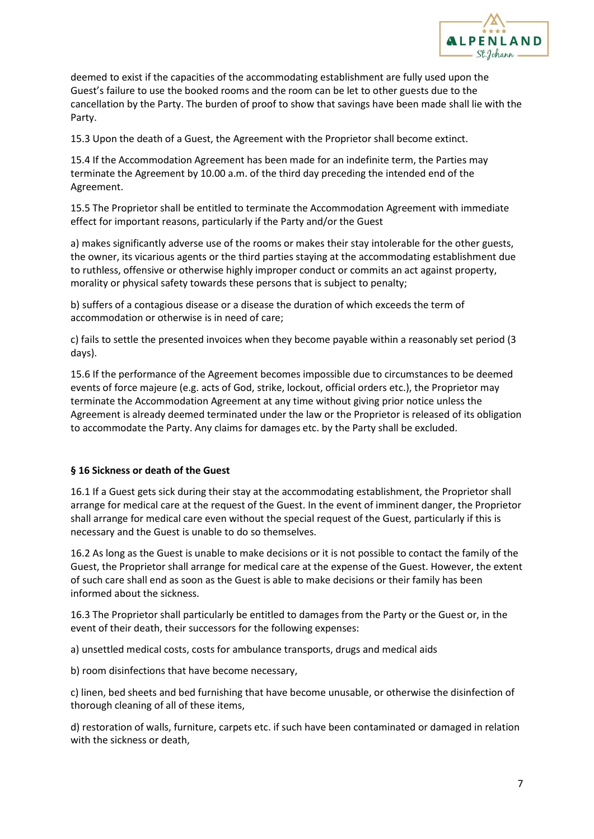

deemed to exist if the capacities of the accommodating establishment are fully used upon the Guest's failure to use the booked rooms and the room can be let to other guests due to the cancellation by the Party. The burden of proof to show that savings have been made shall lie with the Party.

15.3 Upon the death of a Guest, the Agreement with the Proprietor shall become extinct.

15.4 If the Accommodation Agreement has been made for an indefinite term, the Parties may terminate the Agreement by 10.00 a.m. of the third day preceding the intended end of the Agreement.

15.5 The Proprietor shall be entitled to terminate the Accommodation Agreement with immediate effect for important reasons, particularly if the Party and/or the Guest

a) makes significantly adverse use of the rooms or makes their stay intolerable for the other guests, the owner, its vicarious agents or the third parties staying at the accommodating establishment due to ruthless, offensive or otherwise highly improper conduct or commits an act against property, morality or physical safety towards these persons that is subject to penalty;

b) suffers of a contagious disease or a disease the duration of which exceeds the term of accommodation or otherwise is in need of care;

c) fails to settle the presented invoices when they become payable within a reasonably set period (3 days).

15.6 If the performance of the Agreement becomes impossible due to circumstances to be deemed events of force majeure (e.g. acts of God, strike, lockout, official orders etc.), the Proprietor may terminate the Accommodation Agreement at any time without giving prior notice unless the Agreement is already deemed terminated under the law or the Proprietor is released of its obligation to accommodate the Party. Any claims for damages etc. by the Party shall be excluded.

# **§ 16 Sickness or death of the Guest**

16.1 If a Guest gets sick during their stay at the accommodating establishment, the Proprietor shall arrange for medical care at the request of the Guest. In the event of imminent danger, the Proprietor shall arrange for medical care even without the special request of the Guest, particularly if this is necessary and the Guest is unable to do so themselves.

16.2 As long as the Guest is unable to make decisions or it is not possible to contact the family of the Guest, the Proprietor shall arrange for medical care at the expense of the Guest. However, the extent of such care shall end as soon as the Guest is able to make decisions or their family has been informed about the sickness.

16.3 The Proprietor shall particularly be entitled to damages from the Party or the Guest or, in the event of their death, their successors for the following expenses:

a) unsettled medical costs, costs for ambulance transports, drugs and medical aids

b) room disinfections that have become necessary,

c) linen, bed sheets and bed furnishing that have become unusable, or otherwise the disinfection of thorough cleaning of all of these items,

d) restoration of walls, furniture, carpets etc. if such have been contaminated or damaged in relation with the sickness or death,